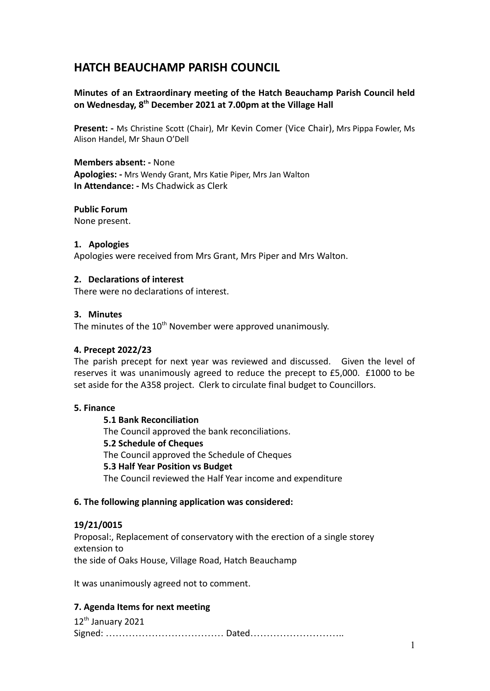# **HATCH BEAUCHAMP PARISH COUNCIL**

# **Minutes of an Extraordinary meeting of the Hatch Beauchamp Parish Council held on Wednesday, 8th December 2021 at 7.00pm at the Village Hall**

**Present: -** Ms Christine Scott (Chair), Mr Kevin Comer (Vice Chair), Mrs Pippa Fowler, Ms Alison Handel, Mr Shaun O'Dell

**Members absent: -** None **Apologies: -** Mrs Wendy Grant, Mrs Katie Piper, Mrs Jan Walton **In Attendance: -** Ms Chadwick as Clerk

## **Public Forum**

None present.

#### **1. Apologies**

Apologies were received from Mrs Grant, Mrs Piper and Mrs Walton.

#### **2. Declarations of interest**

There were no declarations of interest.

#### **3. Minutes**

The minutes of the  $10<sup>th</sup>$  November were approved unanimously.

#### **4. Precept 2022/23**

The parish precept for next year was reviewed and discussed. Given the level of reserves it was unanimously agreed to reduce the precept to £5,000. £1000 to be set aside for the A358 project. Clerk to circulate final budget to Councillors.

#### **5. Finance**

**5.1 Bank Reconciliation** The Council approved the bank reconciliations. **5.2 Schedule of Cheques** The Council approved the Schedule of Cheques **5.3 Half Year Position vs Budget** The Council reviewed the Half Year income and expenditure

#### **6. The following planning application was considered:**

#### **19/21/0015**

Proposal:, Replacement of conservatory with the erection of a single storey extension to the side of Oaks House, Village Road, Hatch Beauchamp

It was unanimously agreed not to comment.

### **7. Agenda Items for next meeting**

12<sup>th</sup> January 2021 Signed: ……………………………… Dated………………………..